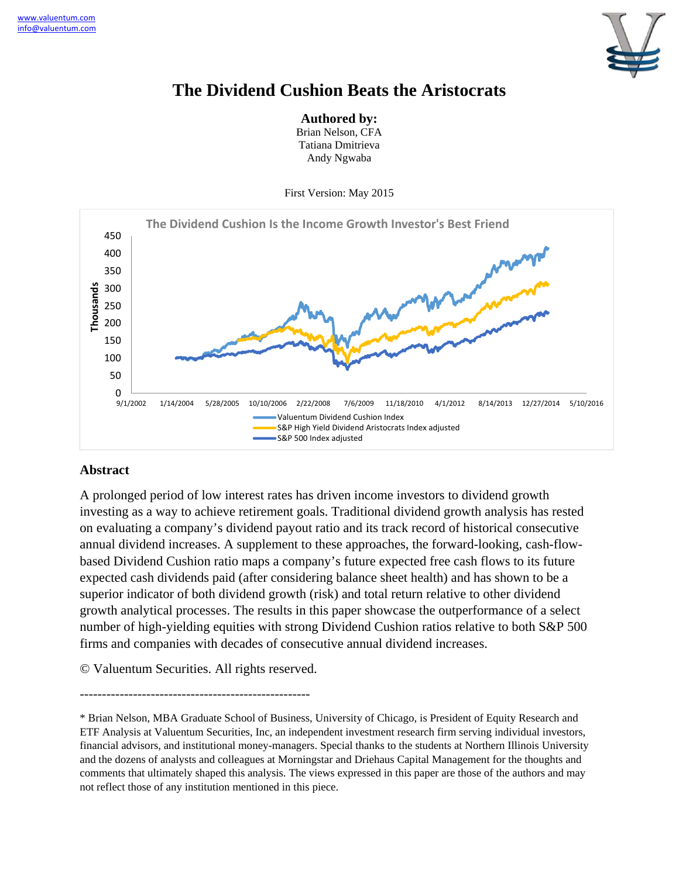

# **The Dividend Cushion Beats the Aristocrats**

**Authored by:** 

Brian Nelson, CFA Tatiana Dmitrieva Andy Ngwaba

First Version: May 2015



# **Abstract**

A prolonged period of low interest rates has driven income investors to dividend growth investing as a way to achieve retirement goals. Traditional dividend growth analysis has rested on evaluating a company's dividend payout ratio and its track record of historical consecutive annual dividend increases. A supplement to these approaches, the forward-looking, cash-flowbased Dividend Cushion ratio maps a company's future expected free cash flows to its future expected cash dividends paid (after considering balance sheet health) and has shown to be a superior indicator of both dividend growth (risk) and total return relative to other dividend growth analytical processes. The results in this paper showcase the outperformance of a select number of high-yielding equities with strong Dividend Cushion ratios relative to both S&P 500 firms and companies with decades of consecutive annual dividend increases.

© Valuentum Securities. All rights reserved.

----------------------------------------------------

<sup>\*</sup> Brian Nelson, MBA Graduate School of Business, University of Chicago, is President of Equity Research and ETF Analysis at Valuentum Securities, Inc, an independent investment research firm serving individual investors, financial advisors, and institutional money-managers. Special thanks to the students at Northern Illinois University and the dozens of analysts and colleagues at Morningstar and Driehaus Capital Management for the thoughts and comments that ultimately shaped this analysis. The views expressed in this paper are those of the authors and may not reflect those of any institution mentioned in this piece.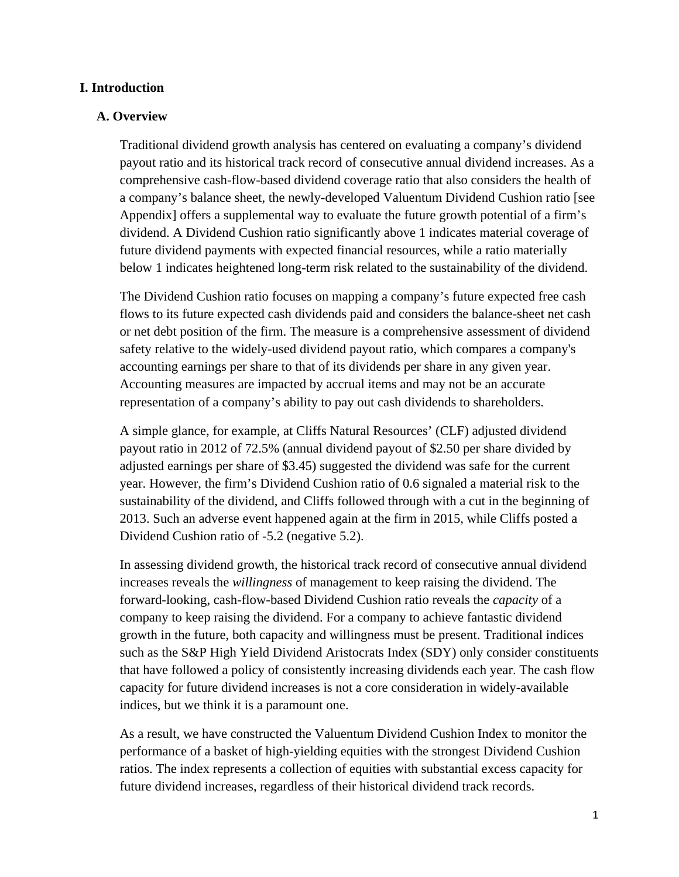#### **I. Introduction**

#### **A. Overview**

Traditional dividend growth analysis has centered on evaluating a company's dividend payout ratio and its historical track record of consecutive annual dividend increases. As a comprehensive cash-flow-based dividend coverage ratio that also considers the health of a company's balance sheet, the newly-developed Valuentum Dividend Cushion ratio [see Appendix] offers a supplemental way to evaluate the future growth potential of a firm's dividend. A Dividend Cushion ratio significantly above 1 indicates material coverage of future dividend payments with expected financial resources, while a ratio materially below 1 indicates heightened long-term risk related to the sustainability of the dividend.

The Dividend Cushion ratio focuses on mapping a company's future expected free cash flows to its future expected cash dividends paid and considers the balance-sheet net cash or net debt position of the firm. The measure is a comprehensive assessment of dividend safety relative to the widely-used dividend payout ratio, which compares a company's accounting earnings per share to that of its dividends per share in any given year. Accounting measures are impacted by accrual items and may not be an accurate representation of a company's ability to pay out cash dividends to shareholders.

A simple glance, for example, at Cliffs Natural Resources' (CLF) adjusted dividend payout ratio in 2012 of 72.5% (annual dividend payout of \$2.50 per share divided by adjusted earnings per share of \$3.45) suggested the dividend was safe for the current year. However, the firm's Dividend Cushion ratio of 0.6 signaled a material risk to the sustainability of the dividend, and Cliffs followed through with a cut in the beginning of 2013. Such an adverse event happened again at the firm in 2015, while Cliffs posted a Dividend Cushion ratio of -5.2 (negative 5.2).

In assessing dividend growth, the historical track record of consecutive annual dividend increases reveals the *willingness* of management to keep raising the dividend. The forward-looking, cash-flow-based Dividend Cushion ratio reveals the *capacity* of a company to keep raising the dividend. For a company to achieve fantastic dividend growth in the future, both capacity and willingness must be present. Traditional indices such as the S&P High Yield Dividend Aristocrats Index (SDY) only consider constituents that have followed a policy of consistently increasing dividends each year. The cash flow capacity for future dividend increases is not a core consideration in widely-available indices, but we think it is a paramount one.

As a result, we have constructed the Valuentum Dividend Cushion Index to monitor the performance of a basket of high-yielding equities with the strongest Dividend Cushion ratios. The index represents a collection of equities with substantial excess capacity for future dividend increases, regardless of their historical dividend track records.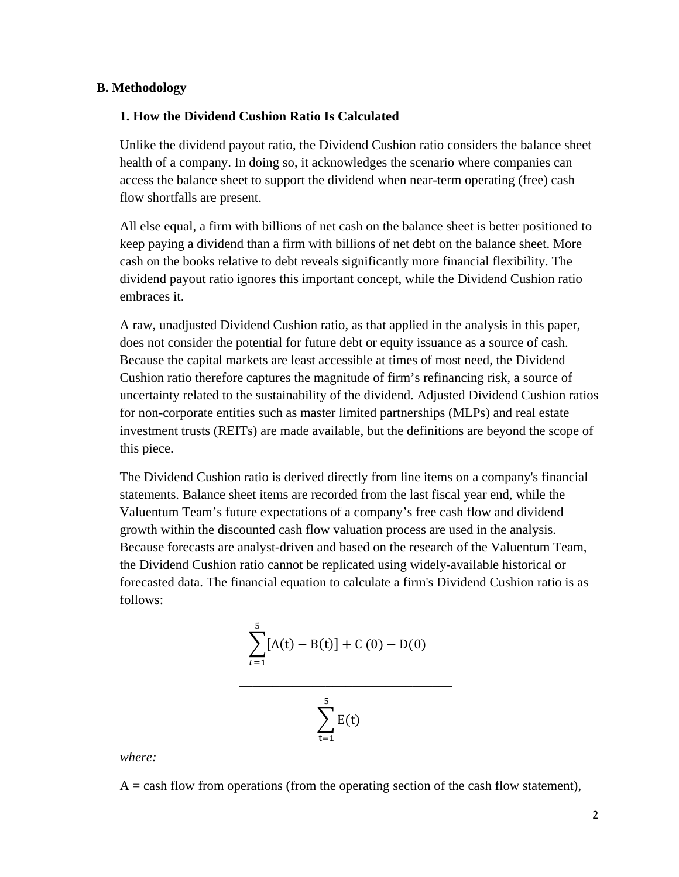#### **B. Methodology**

#### **1. How the Dividend Cushion Ratio Is Calculated**

Unlike the dividend payout ratio, the Dividend Cushion ratio considers the balance sheet health of a company. In doing so, it acknowledges the scenario where companies can access the balance sheet to support the dividend when near-term operating (free) cash flow shortfalls are present.

All else equal, a firm with billions of net cash on the balance sheet is better positioned to keep paying a dividend than a firm with billions of net debt on the balance sheet. More cash on the books relative to debt reveals significantly more financial flexibility. The dividend payout ratio ignores this important concept, while the Dividend Cushion ratio embraces it.

A raw, unadjusted Dividend Cushion ratio, as that applied in the analysis in this paper, does not consider the potential for future debt or equity issuance as a source of cash. Because the capital markets are least accessible at times of most need, the Dividend Cushion ratio therefore captures the magnitude of firm's refinancing risk, a source of uncertainty related to the sustainability of the dividend. Adjusted Dividend Cushion ratios for non-corporate entities such as master limited partnerships (MLPs) and real estate investment trusts (REITs) are made available, but the definitions are beyond the scope of this piece.

The Dividend Cushion ratio is derived directly from line items on a company's financial statements. Balance sheet items are recorded from the last fiscal year end, while the Valuentum Team's future expectations of a company's free cash flow and dividend growth within the discounted cash flow valuation process are used in the analysis. Because forecasts are analyst-driven and based on the research of the Valuentum Team, the Dividend Cushion ratio cannot be replicated using widely-available historical or forecasted data. The financial equation to calculate a firm's Dividend Cushion ratio is as follows:

$$
\sum_{t=1}^{5} [A(t) - B(t)] + C(0) - D(0)
$$

 $\mathcal{L}_\text{max}$  , and the contract of the contract of the contract of the contract of the contract of the contract of the contract of the contract of the contract of the contract of the contract of the contract of the contr



*where:* 

 $A =$  cash flow from operations (from the operating section of the cash flow statement),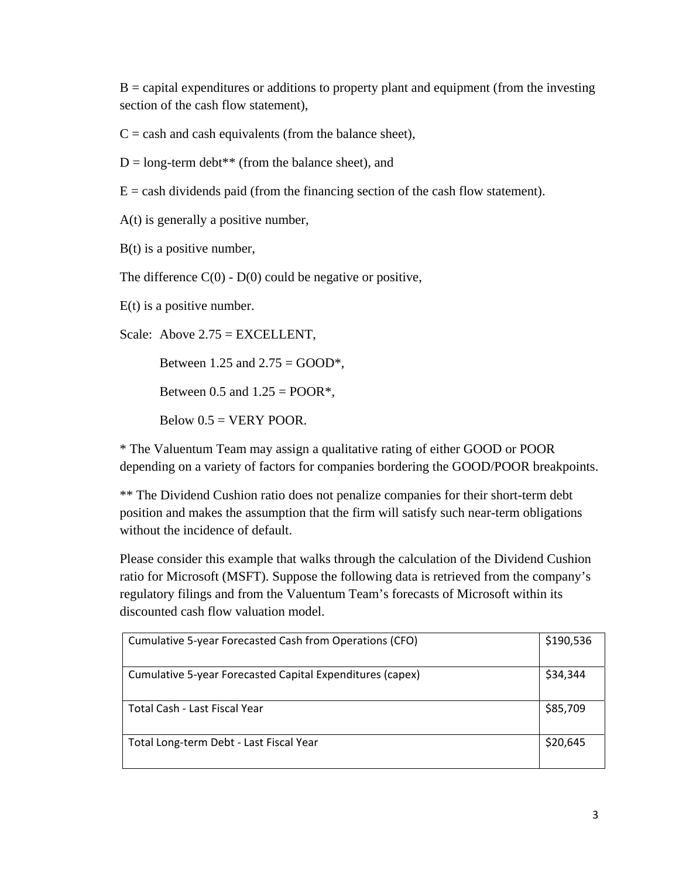$B =$  capital expenditures or additions to property plant and equipment (from the investing section of the cash flow statement),

 $C =$  cash and cash equivalents (from the balance sheet),

 $D = long-term debt** (from the balance sheet), and$ 

 $E =$  cash dividends paid (from the financing section of the cash flow statement).

A(t) is generally a positive number,

 $B(t)$  is a positive number,

The difference  $C(0)$  -  $D(0)$  could be negative or positive,

 $E(t)$  is a positive number.

Scale: Above 2.75 = EXCELLENT,

Between 1.25 and  $2.75 = GOOD^*$ ,

Between 0.5 and  $1.25 = POOR^*$ ,

Below  $0.5 = VERY POOR$ .

\* The Valuentum Team may assign a qualitative rating of either GOOD or POOR depending on a variety of factors for companies bordering the GOOD/POOR breakpoints.

\*\* The Dividend Cushion ratio does not penalize companies for their short-term debt position and makes the assumption that the firm will satisfy such near-term obligations without the incidence of default.

Please consider this example that walks through the calculation of the Dividend Cushion ratio for Microsoft (MSFT). Suppose the following data is retrieved from the company's regulatory filings and from the Valuentum Team's forecasts of Microsoft within its discounted cash flow valuation model.

| Cumulative 5-year Forecasted Cash from Operations (CFO)   | \$190,536 |
|-----------------------------------------------------------|-----------|
| Cumulative 5-year Forecasted Capital Expenditures (capex) | \$34,344  |
| Total Cash - Last Fiscal Year                             | \$85,709  |
| Total Long-term Debt - Last Fiscal Year                   | \$20,645  |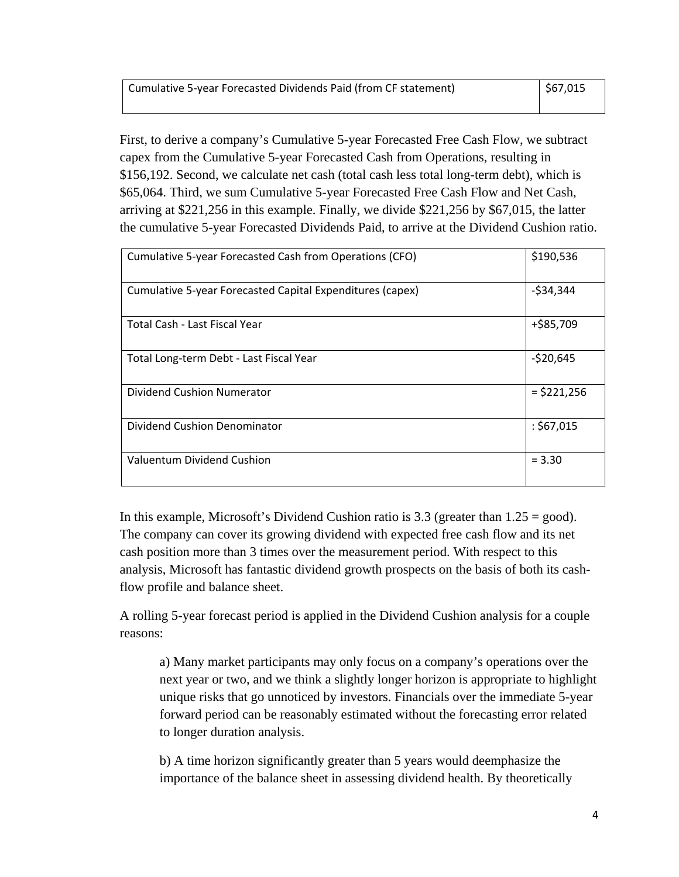First, to derive a company's Cumulative 5-year Forecasted Free Cash Flow, we subtract capex from the Cumulative 5-year Forecasted Cash from Operations, resulting in \$156,192. Second, we calculate net cash (total cash less total long-term debt), which is \$65,064. Third, we sum Cumulative 5-year Forecasted Free Cash Flow and Net Cash, arriving at \$221,256 in this example. Finally, we divide \$221,256 by \$67,015, the latter the cumulative 5-year Forecasted Dividends Paid, to arrive at the Dividend Cushion ratio.

| Cumulative 5-year Forecasted Cash from Operations (CFO)   | \$190,536     |
|-----------------------------------------------------------|---------------|
| Cumulative 5-year Forecasted Capital Expenditures (capex) | $-534,344$    |
| Total Cash - Last Fiscal Year                             | +\$85,709     |
| Total Long-term Debt - Last Fiscal Year                   | $-520,645$    |
| Dividend Cushion Numerator                                | $=$ \$221,256 |
| <b>Dividend Cushion Denominator</b>                       | : \$67,015    |
| Valuentum Dividend Cushion                                | $= 3.30$      |

In this example, Microsoft's Dividend Cushion ratio is  $3.3$  (greater than  $1.25 = \text{good}$ ). The company can cover its growing dividend with expected free cash flow and its net cash position more than 3 times over the measurement period. With respect to this analysis, Microsoft has fantastic dividend growth prospects on the basis of both its cashflow profile and balance sheet.

A rolling 5-year forecast period is applied in the Dividend Cushion analysis for a couple reasons:

a) Many market participants may only focus on a company's operations over the next year or two, and we think a slightly longer horizon is appropriate to highlight unique risks that go unnoticed by investors. Financials over the immediate 5-year forward period can be reasonably estimated without the forecasting error related to longer duration analysis.

b) A time horizon significantly greater than 5 years would deemphasize the importance of the balance sheet in assessing dividend health. By theoretically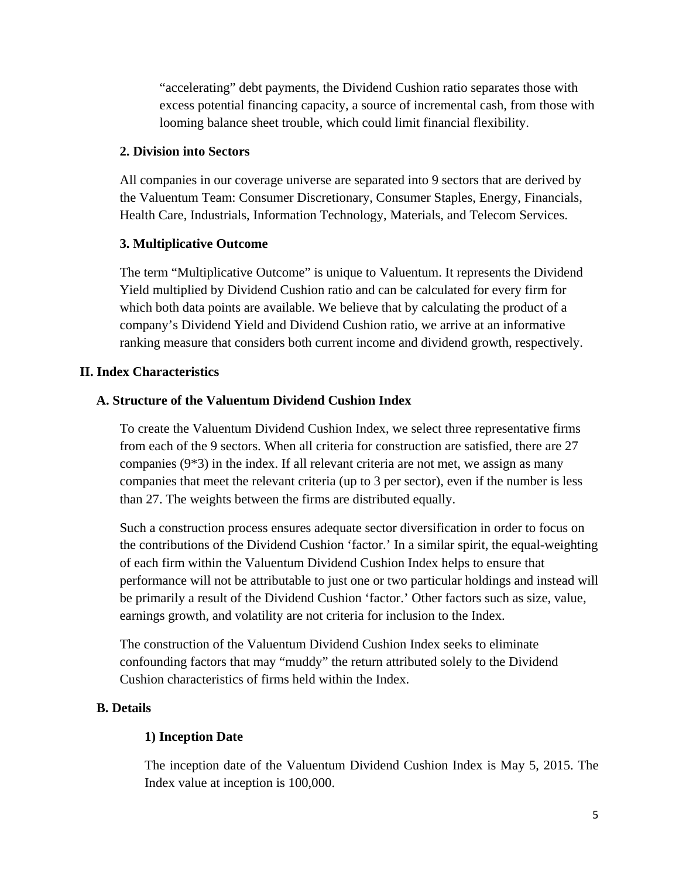"accelerating" debt payments, the Dividend Cushion ratio separates those with excess potential financing capacity, a source of incremental cash, from those with looming balance sheet trouble, which could limit financial flexibility.

#### **2. Division into Sectors**

All companies in our coverage universe are separated into 9 sectors that are derived by the Valuentum Team: Consumer Discretionary, Consumer Staples, Energy, Financials, Health Care, Industrials, Information Technology, Materials, and Telecom Services.

#### **3. Multiplicative Outcome**

The term "Multiplicative Outcome" is unique to Valuentum. It represents the Dividend Yield multiplied by Dividend Cushion ratio and can be calculated for every firm for which both data points are available. We believe that by calculating the product of a company's Dividend Yield and Dividend Cushion ratio, we arrive at an informative ranking measure that considers both current income and dividend growth, respectively.

#### **II. Index Characteristics**

#### **A. Structure of the Valuentum Dividend Cushion Index**

To create the Valuentum Dividend Cushion Index, we select three representative firms from each of the 9 sectors. When all criteria for construction are satisfied, there are 27 companies  $(9*3)$  in the index. If all relevant criteria are not met, we assign as many companies that meet the relevant criteria (up to 3 per sector), even if the number is less than 27. The weights between the firms are distributed equally.

Such a construction process ensures adequate sector diversification in order to focus on the contributions of the Dividend Cushion 'factor.' In a similar spirit, the equal-weighting of each firm within the Valuentum Dividend Cushion Index helps to ensure that performance will not be attributable to just one or two particular holdings and instead will be primarily a result of the Dividend Cushion 'factor.' Other factors such as size, value, earnings growth, and volatility are not criteria for inclusion to the Index.

The construction of the Valuentum Dividend Cushion Index seeks to eliminate confounding factors that may "muddy" the return attributed solely to the Dividend Cushion characteristics of firms held within the Index.

#### **B. Details**

#### **1) Inception Date**

The inception date of the Valuentum Dividend Cushion Index is May 5, 2015. The Index value at inception is 100,000.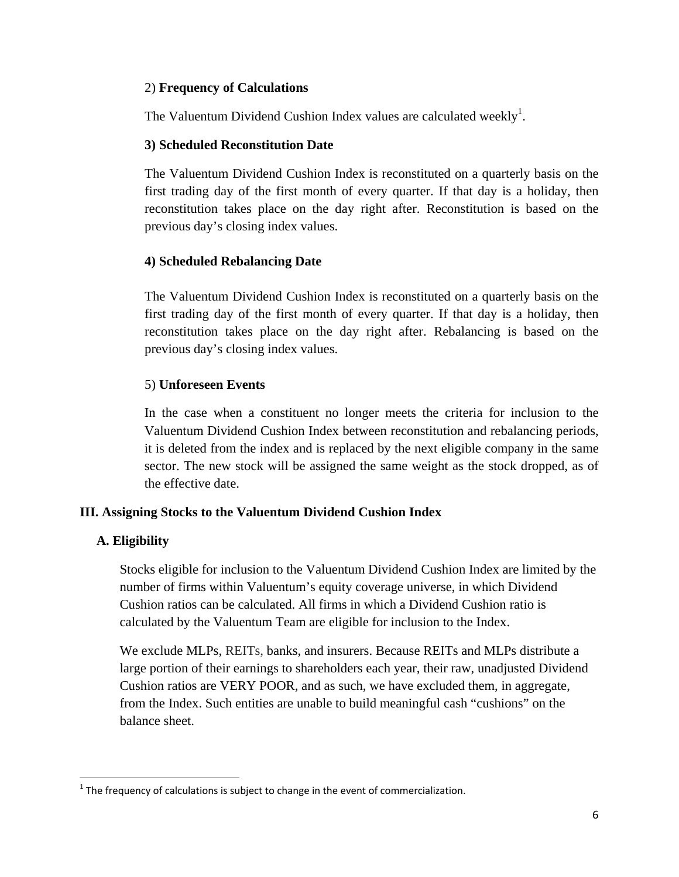#### 2) **Frequency of Calculations**

The Valuentum Dividend Cushion Index values are calculated weekly<sup>1</sup>.

#### **3) Scheduled Reconstitution Date**

The Valuentum Dividend Cushion Index is reconstituted on a quarterly basis on the first trading day of the first month of every quarter. If that day is a holiday, then reconstitution takes place on the day right after. Reconstitution is based on the previous day's closing index values.

# **4) Scheduled Rebalancing Date**

The Valuentum Dividend Cushion Index is reconstituted on a quarterly basis on the first trading day of the first month of every quarter. If that day is a holiday, then reconstitution takes place on the day right after. Rebalancing is based on the previous day's closing index values.

# 5) **Unforeseen Events**

In the case when a constituent no longer meets the criteria for inclusion to the Valuentum Dividend Cushion Index between reconstitution and rebalancing periods, it is deleted from the index and is replaced by the next eligible company in the same sector. The new stock will be assigned the same weight as the stock dropped, as of the effective date.

# **III. Assigning Stocks to the Valuentum Dividend Cushion Index**

#### **A. Eligibility**

 $\overline{\phantom{a}}$ 

Stocks eligible for inclusion to the Valuentum Dividend Cushion Index are limited by the number of firms within Valuentum's equity coverage universe, in which Dividend Cushion ratios can be calculated. All firms in which a Dividend Cushion ratio is calculated by the Valuentum Team are eligible for inclusion to the Index.

We exclude MLPs, REITs, banks, and insurers. Because REITs and MLPs distribute a large portion of their earnings to shareholders each year, their raw, unadjusted Dividend Cushion ratios are VERY POOR, and as such, we have excluded them, in aggregate, from the Index. Such entities are unable to build meaningful cash "cushions" on the balance sheet.

 $1$  The frequency of calculations is subject to change in the event of commercialization.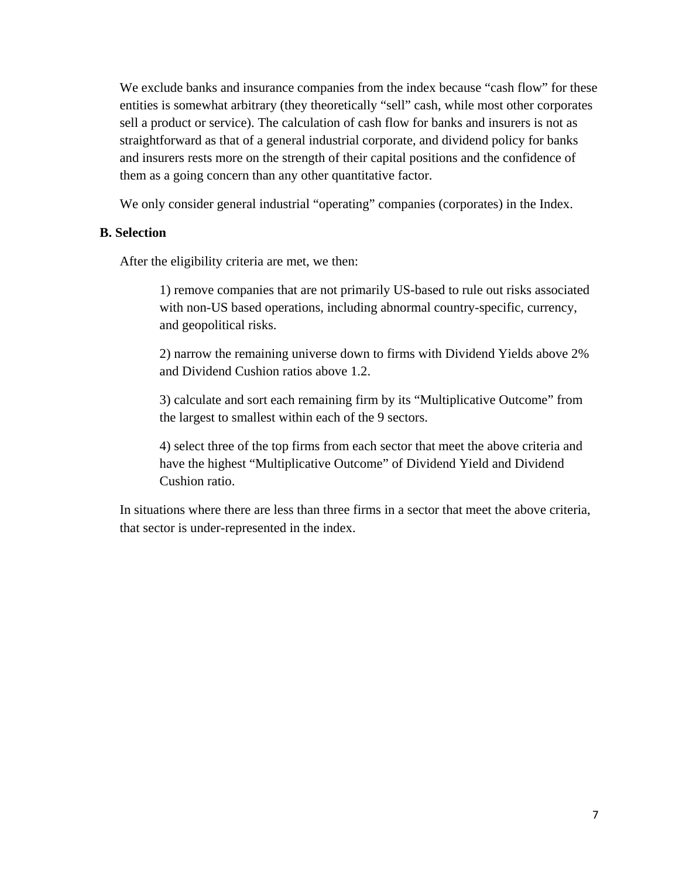We exclude banks and insurance companies from the index because "cash flow" for these entities is somewhat arbitrary (they theoretically "sell" cash, while most other corporates sell a product or service). The calculation of cash flow for banks and insurers is not as straightforward as that of a general industrial corporate, and dividend policy for banks and insurers rests more on the strength of their capital positions and the confidence of them as a going concern than any other quantitative factor.

We only consider general industrial "operating" companies (corporates) in the Index.

#### **B. Selection**

After the eligibility criteria are met, we then:

1) remove companies that are not primarily US-based to rule out risks associated with non-US based operations, including abnormal country-specific, currency, and geopolitical risks.

2) narrow the remaining universe down to firms with Dividend Yields above 2% and Dividend Cushion ratios above 1.2.

3) calculate and sort each remaining firm by its "Multiplicative Outcome" from the largest to smallest within each of the 9 sectors.

4) select three of the top firms from each sector that meet the above criteria and have the highest "Multiplicative Outcome" of Dividend Yield and Dividend Cushion ratio.

In situations where there are less than three firms in a sector that meet the above criteria, that sector is under-represented in the index.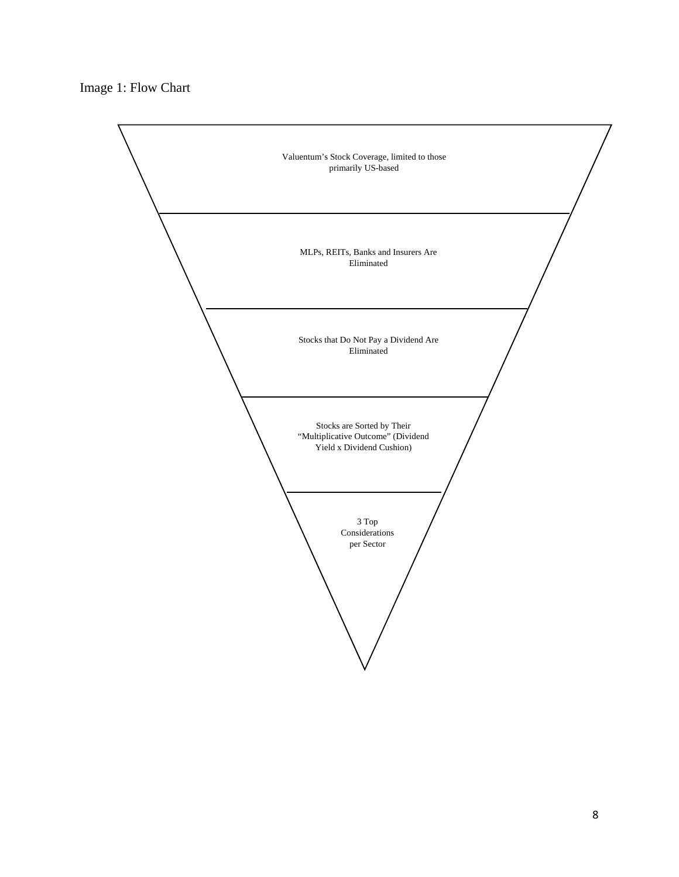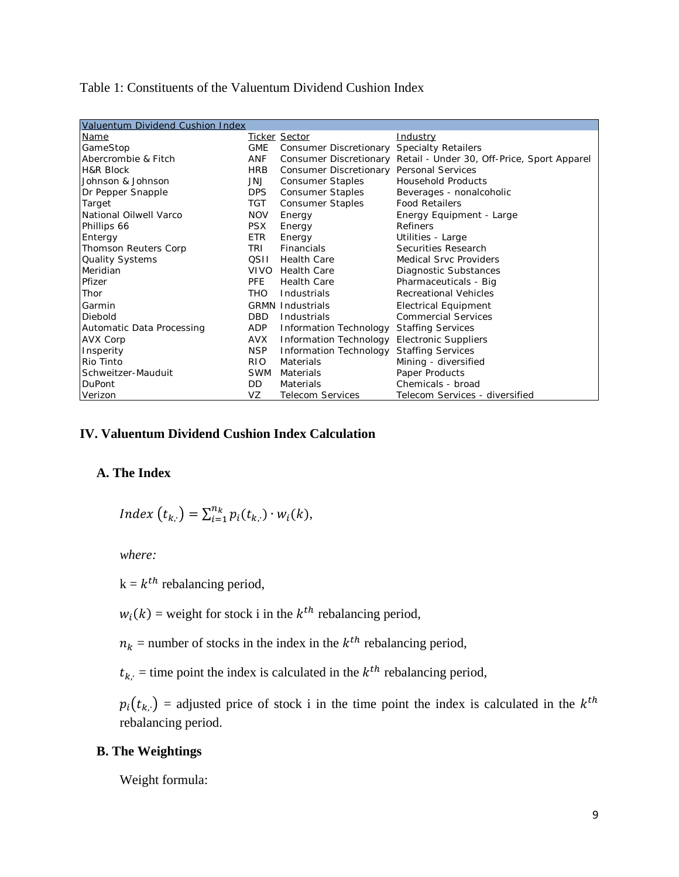#### Table 1: Constituents of the Valuentum Dividend Cushion Index

| Valuentum Dividend Cushion Index |             |                                                   |                                                                    |  |  |  |
|----------------------------------|-------------|---------------------------------------------------|--------------------------------------------------------------------|--|--|--|
| <b>Name</b>                      |             | <b>Ticker Sector</b>                              | <u>Industry</u>                                                    |  |  |  |
| GameStop                         | <b>GME</b>  | <b>Consumer Discretionary Specialty Retailers</b> |                                                                    |  |  |  |
| Abercrombie & Fitch              | ANF         |                                                   | Consumer Discretionary Retail - Under 30, Off-Price, Sport Apparel |  |  |  |
| <b>H&amp;R Block</b>             | <b>HRB</b>  | Consumer Discretionary                            | <b>Personal Services</b>                                           |  |  |  |
| Johnson & Johnson                | JNJ         | <b>Consumer Staples</b>                           | <b>Household Products</b>                                          |  |  |  |
| Dr Pepper Snapple                | <b>DPS</b>  | <b>Consumer Staples</b>                           | Beverages - nonalcoholic                                           |  |  |  |
| Target                           | TGT         | <b>Consumer Staples</b>                           | <b>Food Retailers</b>                                              |  |  |  |
| National Oilwell Varco           | <b>NOV</b>  | Energy                                            | Energy Equipment - Large                                           |  |  |  |
| Phillips 66                      | <b>PSX</b>  | Energy                                            | Refiners                                                           |  |  |  |
| Entergy                          | <b>ETR</b>  | Energy                                            | Utilities - Large                                                  |  |  |  |
| Thomson Reuters Corp             | TRI         | Financials                                        | Securities Research                                                |  |  |  |
| Quality Systems                  | QSII        | <b>Health Care</b>                                | <b>Medical Srvc Providers</b>                                      |  |  |  |
| Meridian                         | <b>VIVO</b> | <b>Health Care</b>                                | Diagnostic Substances                                              |  |  |  |
| Pfizer                           | <b>PFE</b>  | <b>Health Care</b>                                | Pharmaceuticals - Big                                              |  |  |  |
| Thor                             | <b>THO</b>  | Industrials                                       | <b>Recreational Vehicles</b>                                       |  |  |  |
| Garmin                           |             | <b>GRMN Industrials</b>                           | <b>Electrical Equipment</b>                                        |  |  |  |
| <b>Diebold</b>                   | <b>DBD</b>  | Industrials                                       | <b>Commercial Services</b>                                         |  |  |  |
| Automatic Data Processing        | ADP         | Information Technology                            | <b>Staffing Services</b>                                           |  |  |  |
| AVX Corp                         | AVX         | Information Technology                            | <b>Electronic Suppliers</b>                                        |  |  |  |
| Insperity                        | NSP         | Information Technology                            | <b>Staffing Services</b>                                           |  |  |  |
| Rio Tinto                        | RIO.        | <b>Materials</b>                                  | Mining - diversified                                               |  |  |  |
| Schweitzer-Mauduit               | <b>SWM</b>  | Materials                                         | Paper Products                                                     |  |  |  |
| <b>DuPont</b>                    | DD.         | Materials                                         | Chemicals - broad                                                  |  |  |  |
| Verizon                          | VZ          | <b>Telecom Services</b>                           | Telecom Services - diversified                                     |  |  |  |

# **IV. Valuentum Dividend Cushion Index Calculation**

#### **A. The Index**

$$
Index(t_{k,:}) = \sum_{i=1}^{n_k} p_i(t_{k,:}) \cdot w_i(k),
$$

*where:* 

 $k = k^{th}$  rebalancing period,

 $w_i(k)$  = weight for stock i in the  $k^{th}$  rebalancing period,

 $n_k$  = number of stocks in the index in the  $k^{th}$  rebalancing period,

 $t_{k_i}$  = time point the index is calculated in the  $k^{th}$  rebalancing period,

 $p_i(t_{k,:})$  = adjusted price of stock i in the time point the index is calculated in the  $k^{th}$ rebalancing period.

# **B. The Weightings**

Weight formula: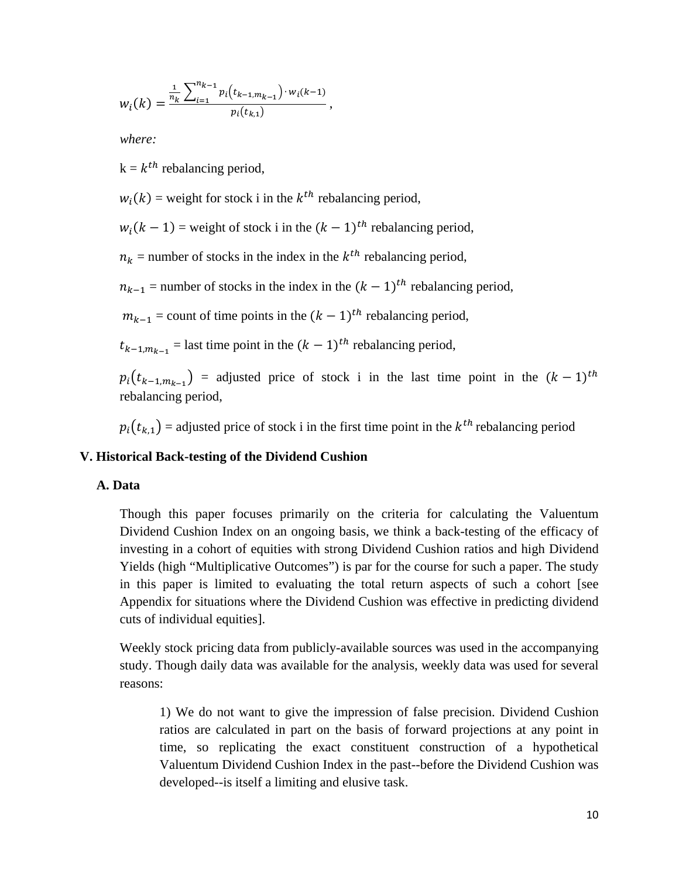$$
w_i(k) = \frac{\frac{1}{n_k} \sum_{i=1}^{n_{k-1}} p_i(t_{k-1,m_{k-1}}) \cdot w_i(k-1)}{p_i(t_{k,1})},
$$

*where:* 

 $k = k^{th}$  rebalancing period,

 $w_i(k)$  = weight for stock i in the  $k^{th}$  rebalancing period,

 $w_i(k-1)$  = weight of stock i in the  $(k-1)$ <sup>th</sup> rebalancing period,

 $n_k$  = number of stocks in the index in the  $k^{th}$  rebalancing period,

 $n_{k-1}$  = number of stocks in the index in the  $(k-1)$ <sup>th</sup> rebalancing period,

 $m_{k-1}$  = count of time points in the  $(k-1)$ <sup>th</sup> rebalancing period,

 $t_{k-1,m_{k-1}}$  = last time point in the  $(k - 1)^{th}$  rebalancing period,

 $p_i(t_{k-1,m_{k-1}})$  = adjusted price of stock i in the last time point in the  $(k-1)^{th}$ rebalancing period,

 $p_i(t_{k-1})$  = adjusted price of stock i in the first time point in the  $k^{th}$  rebalancing period

#### **V. Historical Back-testing of the Dividend Cushion**

#### **A. Data**

Though this paper focuses primarily on the criteria for calculating the Valuentum Dividend Cushion Index on an ongoing basis, we think a back-testing of the efficacy of investing in a cohort of equities with strong Dividend Cushion ratios and high Dividend Yields (high "Multiplicative Outcomes") is par for the course for such a paper. The study in this paper is limited to evaluating the total return aspects of such a cohort [see Appendix for situations where the Dividend Cushion was effective in predicting dividend cuts of individual equities].

Weekly stock pricing data from publicly-available sources was used in the accompanying study. Though daily data was available for the analysis, weekly data was used for several reasons:

1) We do not want to give the impression of false precision. Dividend Cushion ratios are calculated in part on the basis of forward projections at any point in time, so replicating the exact constituent construction of a hypothetical Valuentum Dividend Cushion Index in the past--before the Dividend Cushion was developed--is itself a limiting and elusive task.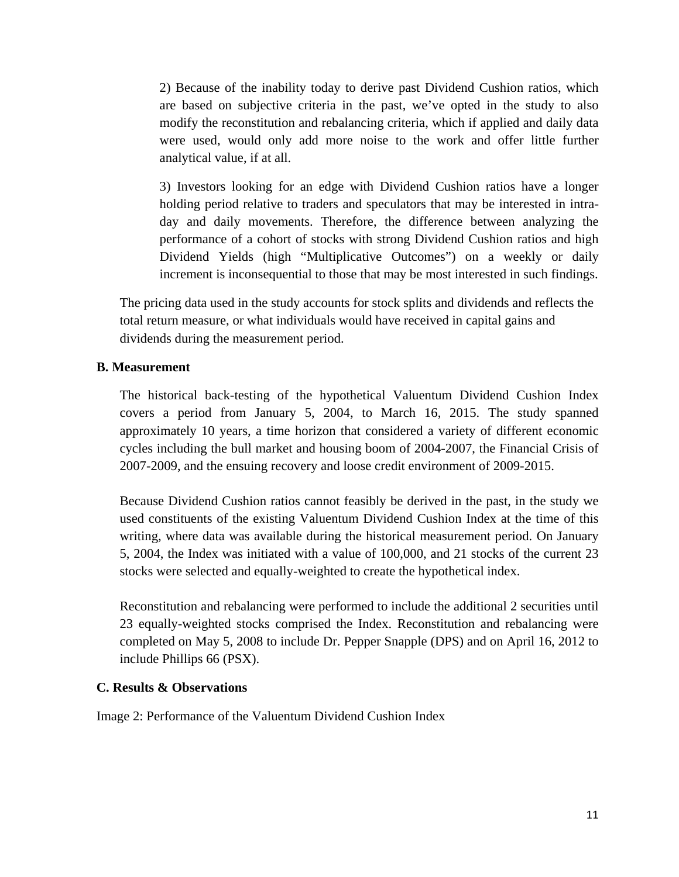2) Because of the inability today to derive past Dividend Cushion ratios, which are based on subjective criteria in the past, we've opted in the study to also modify the reconstitution and rebalancing criteria, which if applied and daily data were used, would only add more noise to the work and offer little further analytical value, if at all.

3) Investors looking for an edge with Dividend Cushion ratios have a longer holding period relative to traders and speculators that may be interested in intraday and daily movements. Therefore, the difference between analyzing the performance of a cohort of stocks with strong Dividend Cushion ratios and high Dividend Yields (high "Multiplicative Outcomes") on a weekly or daily increment is inconsequential to those that may be most interested in such findings.

The pricing data used in the study accounts for stock splits and dividends and reflects the total return measure, or what individuals would have received in capital gains and dividends during the measurement period.

#### **B. Measurement**

The historical back-testing of the hypothetical Valuentum Dividend Cushion Index covers a period from January 5, 2004, to March 16, 2015. The study spanned approximately 10 years, a time horizon that considered a variety of different economic cycles including the bull market and housing boom of 2004-2007, the Financial Crisis of 2007-2009, and the ensuing recovery and loose credit environment of 2009-2015.

Because Dividend Cushion ratios cannot feasibly be derived in the past, in the study we used constituents of the existing Valuentum Dividend Cushion Index at the time of this writing, where data was available during the historical measurement period. On January 5, 2004, the Index was initiated with a value of 100,000, and 21 stocks of the current 23 stocks were selected and equally-weighted to create the hypothetical index.

Reconstitution and rebalancing were performed to include the additional 2 securities until 23 equally-weighted stocks comprised the Index. Reconstitution and rebalancing were completed on May 5, 2008 to include Dr. Pepper Snapple (DPS) and on April 16, 2012 to include Phillips 66 (PSX).

#### **C. Results & Observations**

Image 2: Performance of the Valuentum Dividend Cushion Index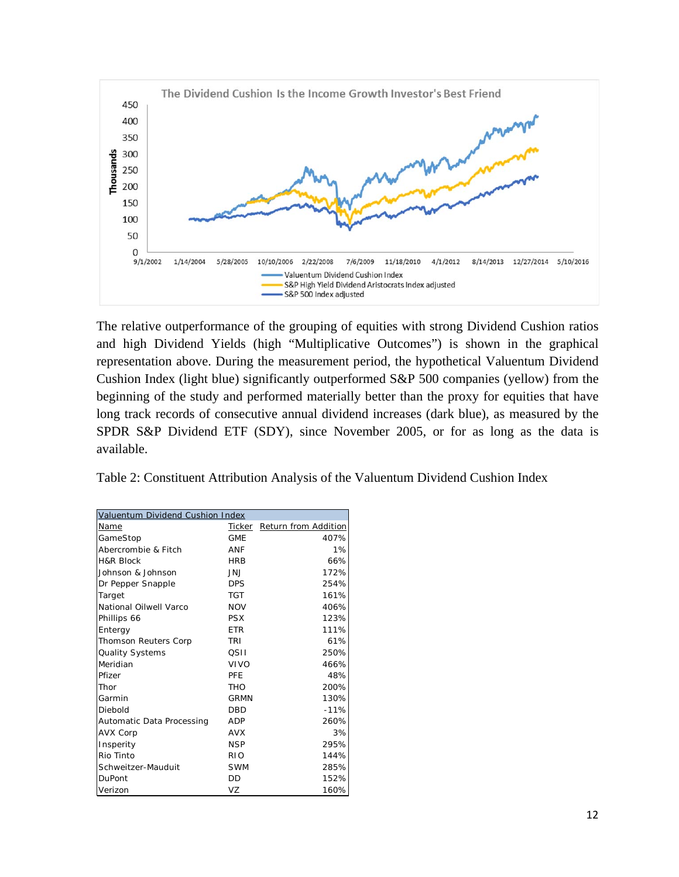

The relative outperformance of the grouping of equities with strong Dividend Cushion ratios and high Dividend Yields (high "Multiplicative Outcomes") is shown in the graphical representation above. During the measurement period, the hypothetical Valuentum Dividend Cushion Index (light blue) significantly outperformed S&P 500 companies (yellow) from the beginning of the study and performed materially better than the proxy for equities that have long track records of consecutive annual dividend increases (dark blue), as measured by the SPDR S&P Dividend ETF (SDY), since November 2005, or for as long as the data is available.

Table 2: Constituent Attribution Analysis of the Valuentum Dividend Cushion Index

| Valuentum Dividend Cushion Index |             |                             |
|----------------------------------|-------------|-----------------------------|
| Name                             |             | Ticker Return from Addition |
| GameStop                         | <b>GME</b>  | 407%                        |
| Abercrombie & Fitch              | ANF         | 1%                          |
| <b>H&amp;R Block</b>             | <b>HRB</b>  | 66%                         |
| Johnson & Johnson                | JNJ         | 172%                        |
| Dr Pepper Snapple                | <b>DPS</b>  | 254%                        |
| Target                           | TGT         | 161%                        |
| National Oilwell Varco           | <b>NOV</b>  | 406%                        |
| Phillips 66                      | <b>PSX</b>  | 123%                        |
| Entergy                          | <b>ETR</b>  | 111%                        |
| Thomson Reuters Corp             | TRI         | 61%                         |
| Quality Systems                  | OSII        | 250%                        |
| Meridian                         | VIVO        | 466%                        |
| Pfizer                           | <b>PFF</b>  | 48%                         |
| Thor                             | THO         | 200%                        |
| Garmin                           | <b>GRMN</b> | 130%                        |
| Diebold                          | <b>DBD</b>  | $-11%$                      |
| Automatic Data Processing        | <b>ADP</b>  | 260%                        |
| <b>AVX Corp</b>                  | <b>AVX</b>  | 3%                          |
| Insperity                        | <b>NSP</b>  | 295%                        |
| Rio Tinto                        | <b>RIO</b>  | 144%                        |
| Schweitzer-Mauduit               | <b>SWM</b>  | 285%                        |
| <b>DuPont</b>                    | DD          | 152%                        |
| Verizon                          | VZ          | 160%                        |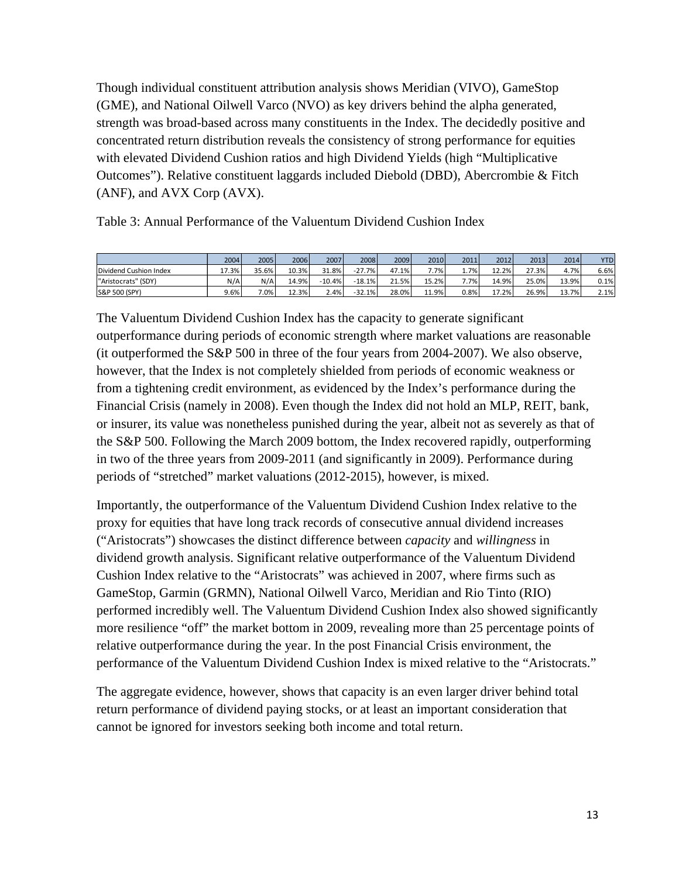Though individual constituent attribution analysis shows Meridian (VIVO), GameStop (GME), and National Oilwell Varco (NVO) as key drivers behind the alpha generated, strength was broad-based across many constituents in the Index. The decidedly positive and concentrated return distribution reveals the consistency of strong performance for equities with elevated Dividend Cushion ratios and high Dividend Yields (high "Multiplicative Outcomes"). Relative constituent laggards included Diebold (DBD), Abercrombie & Fitch (ANF), and AVX Corp (AVX).

Table 3: Annual Performance of the Valuentum Dividend Cushion Index

|                        | 2004  | 2005  | 2006  | 2007     | 2008     | 2009  | 2010  | 2011    | 2012  | 2013  | 2014  | <b>YTD</b> |
|------------------------|-------|-------|-------|----------|----------|-------|-------|---------|-------|-------|-------|------------|
| Dividend Cushion Index | 17.3% | 35.6% | 10.3% | 31.8%    | $-27.7%$ | 47.1% | 7.7%  | $1.7\%$ | 12.2% | 27.3% | 4.7%  | 6.6%       |
| "Aristocrats" (SDY)    | N/A   | N/A   | 14.9% | $-10.4%$ | $-18.1%$ | 21.5% | 15.2% | 7.7%    | 14.9% | 25.0% | 13.9% | 0.1%       |
| S&P 500 (SPY)          | 9.6%  | 7.0%  | 12.3% | 2.4%     | $-32.1%$ | 28.0% | 11.9% | 0.8%    | 17.2% | 26.9% | 13.7% | 2.1%       |

The Valuentum Dividend Cushion Index has the capacity to generate significant outperformance during periods of economic strength where market valuations are reasonable (it outperformed the S&P 500 in three of the four years from 2004-2007). We also observe, however, that the Index is not completely shielded from periods of economic weakness or from a tightening credit environment, as evidenced by the Index's performance during the Financial Crisis (namely in 2008). Even though the Index did not hold an MLP, REIT, bank, or insurer, its value was nonetheless punished during the year, albeit not as severely as that of the S&P 500. Following the March 2009 bottom, the Index recovered rapidly, outperforming in two of the three years from 2009-2011 (and significantly in 2009). Performance during periods of "stretched" market valuations (2012-2015), however, is mixed.

Importantly, the outperformance of the Valuentum Dividend Cushion Index relative to the proxy for equities that have long track records of consecutive annual dividend increases ("Aristocrats") showcases the distinct difference between *capacity* and *willingness* in dividend growth analysis. Significant relative outperformance of the Valuentum Dividend Cushion Index relative to the "Aristocrats" was achieved in 2007, where firms such as GameStop, Garmin (GRMN), National Oilwell Varco, Meridian and Rio Tinto (RIO) performed incredibly well. The Valuentum Dividend Cushion Index also showed significantly more resilience "off" the market bottom in 2009, revealing more than 25 percentage points of relative outperformance during the year. In the post Financial Crisis environment, the performance of the Valuentum Dividend Cushion Index is mixed relative to the "Aristocrats."

The aggregate evidence, however, shows that capacity is an even larger driver behind total return performance of dividend paying stocks, or at least an important consideration that cannot be ignored for investors seeking both income and total return.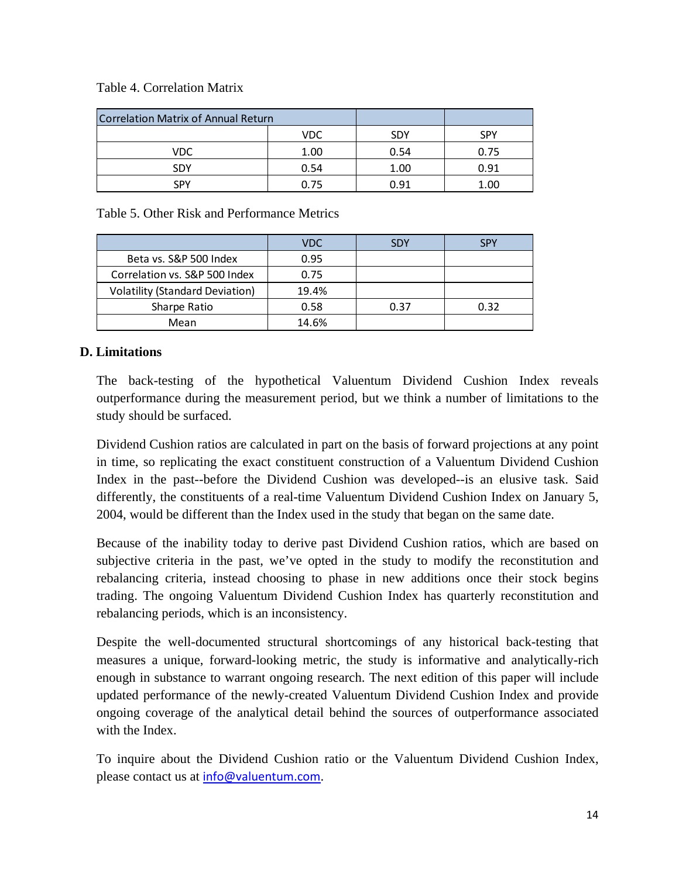#### Table 4. Correlation Matrix

| <b>Correlation Matrix of Annual Return</b> |      |            |            |
|--------------------------------------------|------|------------|------------|
|                                            | VDC  | <b>SDY</b> | <b>SPY</b> |
| VDC                                        | 1.00 | 0.54       | 0.75       |
| <b>SDY</b>                                 | 0.54 | 1.00       | 0.91       |
| SPY                                        |      | 0.91       | 00         |

Table 5. Other Risk and Performance Metrics

|                                        | <b>VDC</b> | <b>SDY</b> | SPY  |
|----------------------------------------|------------|------------|------|
| Beta vs. S&P 500 Index                 | 0.95       |            |      |
| Correlation vs. S&P 500 Index          | 0.75       |            |      |
| <b>Volatility (Standard Deviation)</b> | 19.4%      |            |      |
| Sharpe Ratio                           | 0.58       | 0.37       | 0.32 |
| Mean                                   | 14.6%      |            |      |

# **D. Limitations**

The back-testing of the hypothetical Valuentum Dividend Cushion Index reveals outperformance during the measurement period, but we think a number of limitations to the study should be surfaced.

Dividend Cushion ratios are calculated in part on the basis of forward projections at any point in time, so replicating the exact constituent construction of a Valuentum Dividend Cushion Index in the past--before the Dividend Cushion was developed--is an elusive task. Said differently, the constituents of a real-time Valuentum Dividend Cushion Index on January 5, 2004, would be different than the Index used in the study that began on the same date.

Because of the inability today to derive past Dividend Cushion ratios, which are based on subjective criteria in the past, we've opted in the study to modify the reconstitution and rebalancing criteria, instead choosing to phase in new additions once their stock begins trading. The ongoing Valuentum Dividend Cushion Index has quarterly reconstitution and rebalancing periods, which is an inconsistency.

Despite the well-documented structural shortcomings of any historical back-testing that measures a unique, forward-looking metric, the study is informative and analytically-rich enough in substance to warrant ongoing research. The next edition of this paper will include updated performance of the newly-created Valuentum Dividend Cushion Index and provide ongoing coverage of the analytical detail behind the sources of outperformance associated with the Index.

To inquire about the Dividend Cushion ratio or the Valuentum Dividend Cushion Index, please contact us at info@valuentum.com.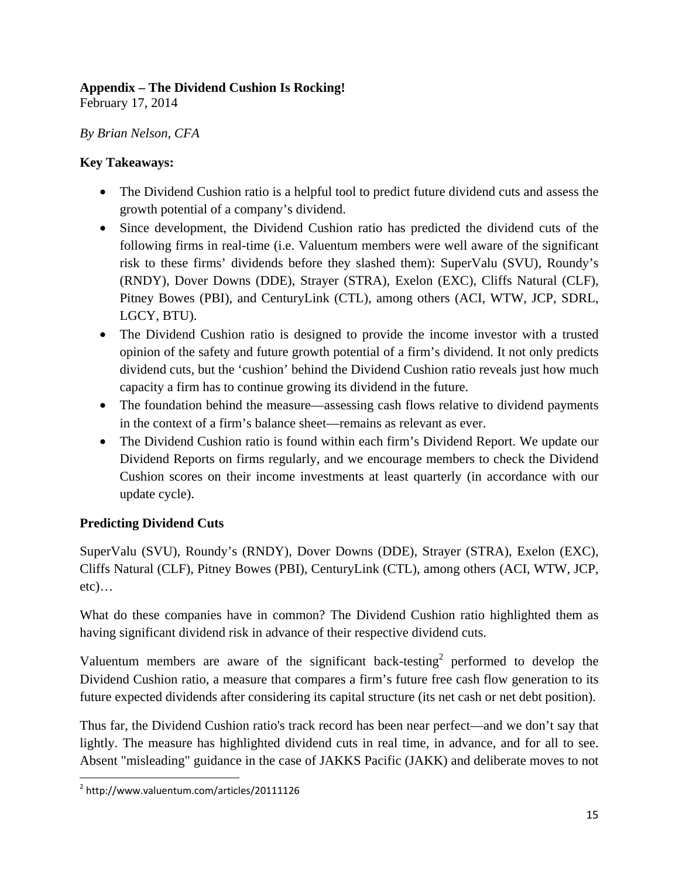# **Appendix – The Dividend Cushion Is Rocking!**

February 17, 2014

# *By Brian Nelson, CFA*

# **Key Takeaways:**

- The Dividend Cushion ratio is a helpful tool to predict future dividend cuts and assess the growth potential of a company's dividend.
- Since development, the Dividend Cushion ratio has predicted the dividend cuts of the following firms in real-time (i.e. Valuentum members were well aware of the significant risk to these firms' dividends before they slashed them): SuperValu (SVU), Roundy's (RNDY), Dover Downs (DDE), Strayer (STRA), Exelon (EXC), Cliffs Natural (CLF), Pitney Bowes (PBI), and CenturyLink (CTL), among others (ACI, WTW, JCP, SDRL, LGCY, BTU).
- The Dividend Cushion ratio is designed to provide the income investor with a trusted opinion of the safety and future growth potential of a firm's dividend. It not only predicts dividend cuts, but the 'cushion' behind the Dividend Cushion ratio reveals just how much capacity a firm has to continue growing its dividend in the future.
- The foundation behind the measure—assessing cash flows relative to dividend payments in the context of a firm's balance sheet—remains as relevant as ever.
- The Dividend Cushion ratio is found within each firm's Dividend Report. We update our Dividend Reports on firms regularly, and we encourage members to check the Dividend Cushion scores on their income investments at least quarterly (in accordance with our update cycle).

# **Predicting Dividend Cuts**

SuperValu (SVU), Roundy's (RNDY), Dover Downs (DDE), Strayer (STRA), Exelon (EXC), Cliffs Natural (CLF), Pitney Bowes (PBI), CenturyLink (CTL), among others (ACI, WTW, JCP,  $etc)$ …

What do these companies have in common? The Dividend Cushion ratio highlighted them as having significant dividend risk in advance of their respective dividend cuts.

Valuentum members are aware of the significant back-testing<sup>2</sup> performed to develop the Dividend Cushion ratio, a measure that compares a firm's future free cash flow generation to its future expected dividends after considering its capital structure (its net cash or net debt position).

Thus far, the Dividend Cushion ratio's track record has been near perfect—and we don't say that lightly. The measure has highlighted dividend cuts in real time, in advance, and for all to see. Absent "misleading" guidance in the case of JAKKS Pacific (JAKK) and deliberate moves to not

 $\overline{\phantom{a}}$ 2 http://www.valuentum.com/articles/20111126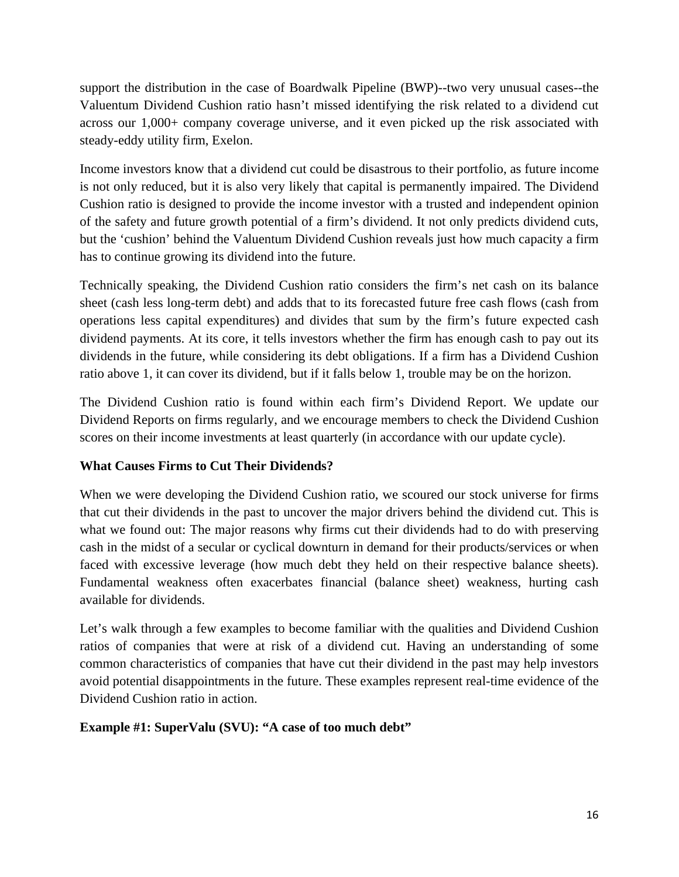support the distribution in the case of Boardwalk Pipeline (BWP)--two very unusual cases--the Valuentum Dividend Cushion ratio hasn't missed identifying the risk related to a dividend cut across our 1,000+ company coverage universe, and it even picked up the risk associated with steady-eddy utility firm, Exelon.

Income investors know that a dividend cut could be disastrous to their portfolio, as future income is not only reduced, but it is also very likely that capital is permanently impaired. The Dividend Cushion ratio is designed to provide the income investor with a trusted and independent opinion of the safety and future growth potential of a firm's dividend. It not only predicts dividend cuts, but the 'cushion' behind the Valuentum Dividend Cushion reveals just how much capacity a firm has to continue growing its dividend into the future.

Technically speaking, the Dividend Cushion ratio considers the firm's net cash on its balance sheet (cash less long-term debt) and adds that to its forecasted future free cash flows (cash from operations less capital expenditures) and divides that sum by the firm's future expected cash dividend payments. At its core, it tells investors whether the firm has enough cash to pay out its dividends in the future, while considering its debt obligations. If a firm has a Dividend Cushion ratio above 1, it can cover its dividend, but if it falls below 1, trouble may be on the horizon.

The Dividend Cushion ratio is found within each firm's Dividend Report. We update our Dividend Reports on firms regularly, and we encourage members to check the Dividend Cushion scores on their income investments at least quarterly (in accordance with our update cycle).

# **What Causes Firms to Cut Their Dividends?**

When we were developing the Dividend Cushion ratio, we scoured our stock universe for firms that cut their dividends in the past to uncover the major drivers behind the dividend cut. This is what we found out: The major reasons why firms cut their dividends had to do with preserving cash in the midst of a secular or cyclical downturn in demand for their products/services or when faced with excessive leverage (how much debt they held on their respective balance sheets). Fundamental weakness often exacerbates financial (balance sheet) weakness, hurting cash available for dividends.

Let's walk through a few examples to become familiar with the qualities and Dividend Cushion ratios of companies that were at risk of a dividend cut. Having an understanding of some common characteristics of companies that have cut their dividend in the past may help investors avoid potential disappointments in the future. These examples represent real-time evidence of the Dividend Cushion ratio in action.

# **Example #1: SuperValu (SVU): "A case of too much debt"**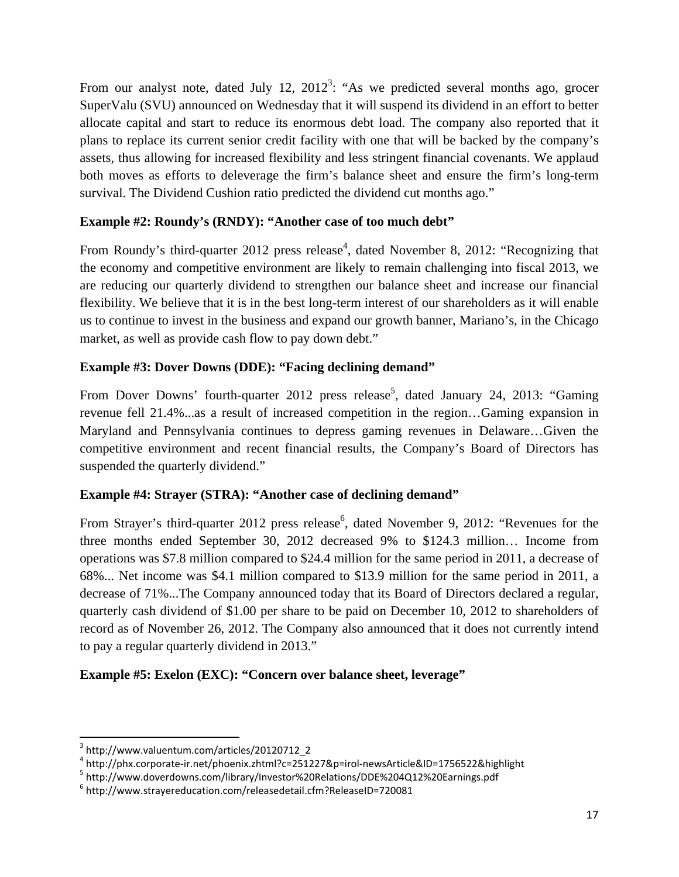From our analyst note, dated July 12,  $2012^3$ : "As we predicted several months ago, grocer SuperValu (SVU) announced on Wednesday that it will suspend its dividend in an effort to better allocate capital and start to reduce its enormous debt load. The company also reported that it plans to replace its current senior credit facility with one that will be backed by the company's assets, thus allowing for increased flexibility and less stringent financial covenants. We applaud both moves as efforts to deleverage the firm's balance sheet and ensure the firm's long-term survival. The Dividend Cushion ratio predicted the dividend cut months ago."

# **Example #2: Roundy's (RNDY): "Another case of too much debt"**

From Roundy's third-quarter 2012 press release<sup>4</sup>, dated November 8, 2012: "Recognizing that the economy and competitive environment are likely to remain challenging into fiscal 2013, we are reducing our quarterly dividend to strengthen our balance sheet and increase our financial flexibility. We believe that it is in the best long-term interest of our shareholders as it will enable us to continue to invest in the business and expand our growth banner, Mariano's, in the Chicago market, as well as provide cash flow to pay down debt."

# **Example #3: Dover Downs (DDE): "Facing declining demand"**

From Dover Downs' fourth-quarter 2012 press release<sup>5</sup>, dated January 24, 2013: "Gaming revenue fell 21.4%...as a result of increased competition in the region…Gaming expansion in Maryland and Pennsylvania continues to depress gaming revenues in Delaware…Given the competitive environment and recent financial results, the Company's Board of Directors has suspended the quarterly dividend."

# **Example #4: Strayer (STRA): "Another case of declining demand"**

From Strayer's third-quarter 2012 press release<sup>6</sup>, dated November 9, 2012: "Revenues for the three months ended September 30, 2012 decreased 9% to \$124.3 million… Income from operations was \$7.8 million compared to \$24.4 million for the same period in 2011, a decrease of 68%... Net income was \$4.1 million compared to \$13.9 million for the same period in 2011, a decrease of 71%...The Company announced today that its Board of Directors declared a regular, quarterly cash dividend of \$1.00 per share to be paid on December 10, 2012 to shareholders of record as of November 26, 2012. The Company also announced that it does not currently intend to pay a regular quarterly dividend in 2013."

# **Example #5: Exelon (EXC): "Concern over balance sheet, leverage"**

 $\overline{a}$ 

<sup>3</sup> http://www.valuentum.com/articles/20120712\_2

<sup>&</sup>lt;sup>4</sup> http://phx.corporate-ir.net/phoenix.zhtml?c=251227&p=irol-newsArticle&ID=1756522&highlight<br><sup>5</sup> http://www.doverdowns.com/library/lovester%20Belations/DDE%204012%20Earnings.pdf

http://www.doverdowns.com/library/Investor%20Relations/DDE%204Q12%20Earnings.pdf 6

http://www.strayereducation.com/releasedetail.cfm?ReleaseID=720081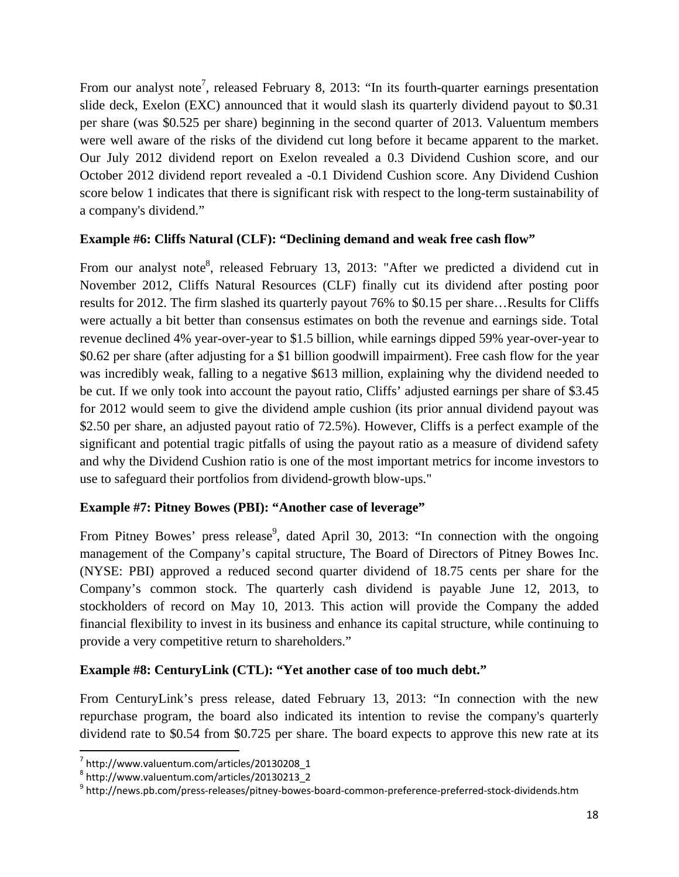From our analyst note<sup>7</sup>, released February 8, 2013: "In its fourth-quarter earnings presentation slide deck, Exelon (EXC) announced that it would slash its quarterly dividend payout to \$0.31 per share (was \$0.525 per share) beginning in the second quarter of 2013. Valuentum members were well aware of the risks of the dividend cut long before it became apparent to the market. Our July 2012 dividend report on Exelon revealed a 0.3 Dividend Cushion score, and our October 2012 dividend report revealed a -0.1 Dividend Cushion score. Any Dividend Cushion score below 1 indicates that there is significant risk with respect to the long-term sustainability of a company's dividend."

# **Example #6: Cliffs Natural (CLF): "Declining demand and weak free cash flow"**

From our analyst note<sup>8</sup>, released February 13, 2013: "After we predicted a dividend cut in November 2012, Cliffs Natural Resources (CLF) finally cut its dividend after posting poor results for 2012. The firm slashed its quarterly payout 76% to \$0.15 per share…Results for Cliffs were actually a bit better than consensus estimates on both the revenue and earnings side. Total revenue declined 4% year-over-year to \$1.5 billion, while earnings dipped 59% year-over-year to \$0.62 per share (after adjusting for a \$1 billion goodwill impairment). Free cash flow for the year was incredibly weak, falling to a negative \$613 million, explaining why the dividend needed to be cut. If we only took into account the payout ratio, Cliffs' adjusted earnings per share of \$3.45 for 2012 would seem to give the dividend ample cushion (its prior annual dividend payout was \$2.50 per share, an adjusted payout ratio of 72.5%). However, Cliffs is a perfect example of the significant and potential tragic pitfalls of using the payout ratio as a measure of dividend safety and why the Dividend Cushion ratio is one of the most important metrics for income investors to use to safeguard their portfolios from dividend-growth blow-ups."

# **Example #7: Pitney Bowes (PBI): "Another case of leverage"**

From Pitney Bowes' press release<sup>9</sup>, dated April 30, 2013: "In connection with the ongoing management of the Company's capital structure, The Board of Directors of Pitney Bowes Inc. (NYSE: PBI) approved a reduced second quarter dividend of 18.75 cents per share for the Company's common stock. The quarterly cash dividend is payable June 12, 2013, to stockholders of record on May 10, 2013. This action will provide the Company the added financial flexibility to invest in its business and enhance its capital structure, while continuing to provide a very competitive return to shareholders."

# **Example #8: CenturyLink (CTL): "Yet another case of too much debt."**

From CenturyLink's press release, dated February 13, 2013: "In connection with the new repurchase program, the board also indicated its intention to revise the company's quarterly dividend rate to \$0.54 from \$0.725 per share. The board expects to approve this new rate at its

 $\overline{\phantom{a}}$ 

 $^7$  http://www.valuentum.com/articles/20130208\_1

<sup>8</sup> http://www.valuentum.com/articles/20130213\_2

<sup>9</sup> http://news.pb.com/press-releases/pitney-bowes-board-common-preference-preferred-stock-dividends.htm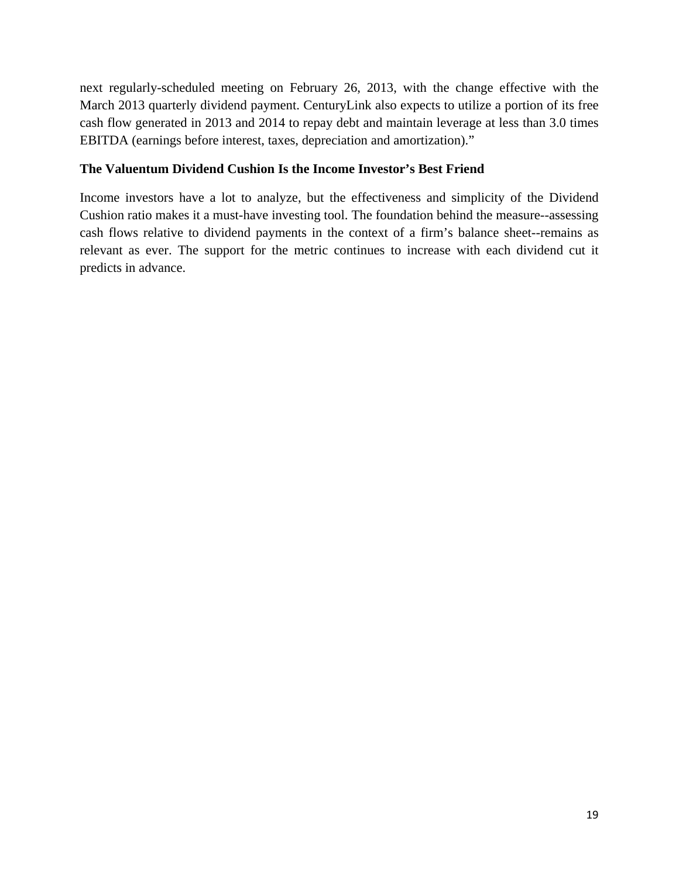next regularly-scheduled meeting on February 26, 2013, with the change effective with the March 2013 quarterly dividend payment. CenturyLink also expects to utilize a portion of its free cash flow generated in 2013 and 2014 to repay debt and maintain leverage at less than 3.0 times EBITDA (earnings before interest, taxes, depreciation and amortization)."

# **The Valuentum Dividend Cushion Is the Income Investor's Best Friend**

Income investors have a lot to analyze, but the effectiveness and simplicity of the Dividend Cushion ratio makes it a must-have investing tool. The foundation behind the measure--assessing cash flows relative to dividend payments in the context of a firm's balance sheet--remains as relevant as ever. The support for the metric continues to increase with each dividend cut it predicts in advance.